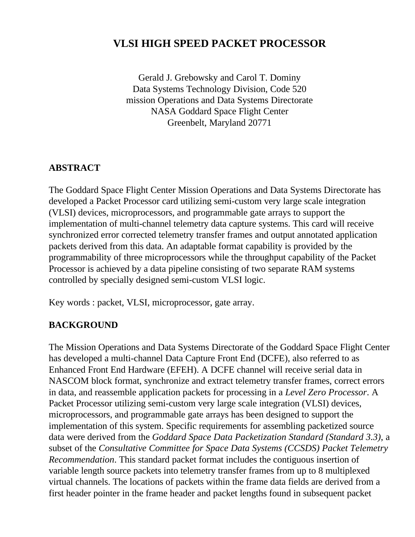# **VLSI HIGH SPEED PACKET PROCESSOR**

Gerald J. Grebowsky and Carol T. Dominy Data Systems Technology Division, Code 520 mission Operations and Data Systems Directorate NASA Goddard Space Flight Center Greenbelt, Maryland 20771

#### **ABSTRACT**

The Goddard Space Flight Center Mission Operations and Data Systems Directorate has developed a Packet Processor card utilizing semi-custom very large scale integration (VLSI) devices, microprocessors, and programmable gate arrays to support the implementation of multi-channel telemetry data capture systems. This card will receive synchronized error corrected telemetry transfer frames and output annotated application packets derived from this data. An adaptable format capability is provided by the programmability of three microprocessors while the throughput capability of the Packet Processor is achieved by a data pipeline consisting of two separate RAM systems controlled by specially designed semi-custom VLSI logic.

Key words : packet, VLSI, microprocessor, gate array.

#### **BACKGROUND**

The Mission Operations and Data Systems Directorate of the Goddard Space Flight Center has developed a multi-channel Data Capture Front End (DCFE), also referred to as Enhanced Front End Hardware (EFEH). A DCFE channel will receive serial data in NASCOM block format, synchronize and extract telemetry transfer frames, correct errors in data, and reassemble application packets for processing in a *Level Zero Processor*. A Packet Processor utilizing semi-custom very large scale integration (VLSI) devices, microprocessors, and programmable gate arrays has been designed to support the implementation of this system. Specific requirements for assembling packetized source data were derived from the *Goddard Space Data Packetization Standard (Standard 3.3)*, a subset of the *Consultative Committee for Space Data Systems (CCSDS) Packet Telemetry Recommendation*. This standard packet format includes the contiguous insertion of variable length source packets into telemetry transfer frames from up to 8 multiplexed virtual channels. The locations of packets within the frame data fields are derived from a first header pointer in the frame header and packet lengths found in subsequent packet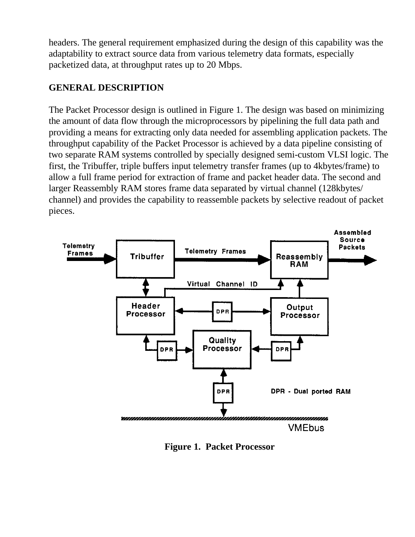headers. The general requirement emphasized during the design of this capability was the adaptability to extract source data from various telemetry data formats, especially packetized data, at throughput rates up to 20 Mbps.

# **GENERAL DESCRIPTION**

The Packet Processor design is outlined in Figure 1. The design was based on minimizing the amount of data flow through the microprocessors by pipelining the full data path and providing a means for extracting only data needed for assembling application packets. The throughput capability of the Packet Processor is achieved by a data pipeline consisting of two separate RAM systems controlled by specially designed semi-custom VLSI logic. The first, the Tribuffer, triple buffers input telemetry transfer frames (up to 4kbytes/frame) to allow a full frame period for extraction of frame and packet header data. The second and larger Reassembly RAM stores frame data separated by virtual channel (128kbytes/ channel) and provides the capability to reassemble packets by selective readout of packet pieces.



**Figure 1. Packet Processor**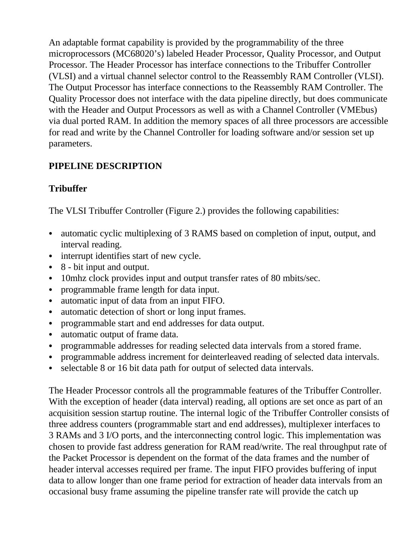An adaptable format capability is provided by the programmability of the three microprocessors (MC68020's) labeled Header Processor, Quality Processor, and Output Processor. The Header Processor has interface connections to the Tribuffer Controller (VLSI) and a virtual channel selector control to the Reassembly RAM Controller (VLSI). The Output Processor has interface connections to the Reassembly RAM Controller. The Quality Processor does not interface with the data pipeline directly, but does communicate with the Header and Output Processors as well as with a Channel Controller (VMEbus) via dual ported RAM. In addition the memory spaces of all three processors are accessible for read and write by the Channel Controller for loading software and/or session set up parameters.

### **PIPELINE DESCRIPTION**

# **Tribuffer**

The VLSI Tribuffer Controller (Figure 2.) provides the following capabilities:

- automatic cyclic multiplexing of 3 RAMS based on completion of input, output, and interval reading.
- interrupt identifies start of new cycle.
- $\bullet$  8 bit input and output.
- 10mhz clock provides input and output transfer rates of 80 mbits/sec.
- programmable frame length for data input.
- automatic input of data from an input FIFO.
- automatic detection of short or long input frames.
- programmable start and end addresses for data output.
- automatic output of frame data.
- programmable addresses for reading selected data intervals from a stored frame.
- programmable address increment for deinterleaved reading of selected data intervals.
- selectable 8 or 16 bit data path for output of selected data intervals.

The Header Processor controls all the programmable features of the Tribuffer Controller. With the exception of header (data interval) reading, all options are set once as part of an acquisition session startup routine. The internal logic of the Tribuffer Controller consists of three address counters (programmable start and end addresses), multiplexer interfaces to 3 RAMs and 3 I/O ports, and the interconnecting control logic. This implementation was chosen to provide fast address generation for RAM read/write. The real throughput rate of the Packet Processor is dependent on the format of the data frames and the number of header interval accesses required per frame. The input FIFO provides buffering of input data to allow longer than one frame period for extraction of header data intervals from an occasional busy frame assuming the pipeline transfer rate will provide the catch up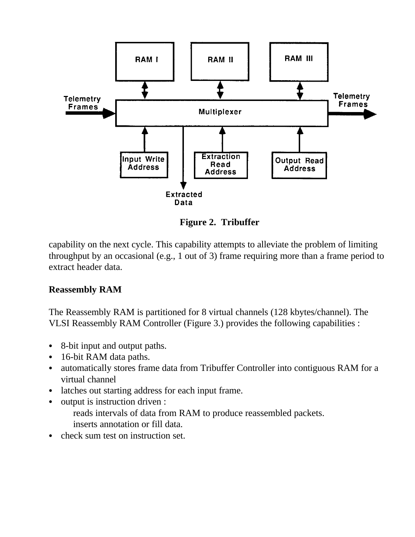

**Figure 2. Tribuffer**

capability on the next cycle. This capability attempts to alleviate the problem of limiting throughput by an occasional (e.g., 1 out of 3) frame requiring more than a frame period to extract header data.

### **Reassembly RAM**

The Reassembly RAM is partitioned for 8 virtual channels (128 kbytes/channel). The VLSI Reassembly RAM Controller (Figure 3.) provides the following capabilities :

- 8-bit input and output paths.
- 16-bit RAM data paths.
- automatically stores frame data from Tribuffer Controller into contiguous RAM for a virtual channel
- latches out starting address for each input frame.
- $\bullet$  output is instruction driven :

reads intervals of data from RAM to produce reassembled packets. inserts annotation or fill data.

 $\bullet$  check sum test on instruction set.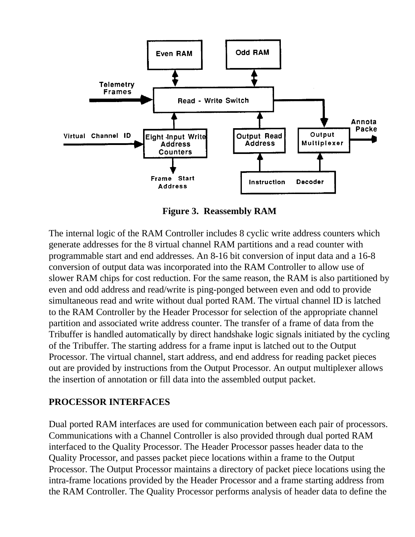

**Figure 3. Reassembly RAM**

The internal logic of the RAM Controller includes 8 cyclic write address counters which generate addresses for the 8 virtual channel RAM partitions and a read counter with programmable start and end addresses. An 8-16 bit conversion of input data and a 16-8 conversion of output data was incorporated into the RAM Controller to allow use of slower RAM chips for cost reduction. For the same reason, the RAM is also partitioned by even and odd address and read/write is ping-ponged between even and odd to provide simultaneous read and write without dual ported RAM. The virtual channel ID is latched to the RAM Controller by the Header Processor for selection of the appropriate channel partition and associated write address counter. The transfer of a frame of data from the Tribuffer is handled automatically by direct handshake logic signals initiated by the cycling of the Tribuffer. The starting address for a frame input is latched out to the Output Processor. The virtual channel, start address, and end address for reading packet pieces out are provided by instructions from the Output Processor. An output multiplexer allows the insertion of annotation or fill data into the assembled output packet.

### **PROCESSOR INTERFACES**

Dual ported RAM interfaces are used for communication between each pair of processors. Communications with a Channel Controller is also provided through dual ported RAM interfaced to the Quality Processor. The Header Processor passes header data to the Quality Processor, and passes packet piece locations within a frame to the Output Processor. The Output Processor maintains a directory of packet piece locations using the intra-frame locations provided by the Header Processor and a frame starting address from the RAM Controller. The Quality Processor performs analysis of header data to define the